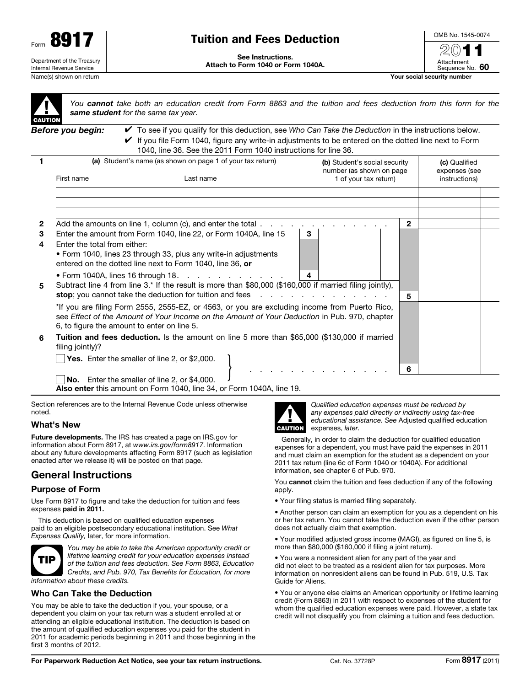

# Tuition and Fees Deduction

See Instructions. Attach to Form 1040 or Form 1040A. OMB No. 1545-0074  $20$ 

Attachment

Sequence No. 60

▲! **CAUTION** 

*You cannot take both an education credit from Form 8863 and the tuition and fees deduction from this form for the same student for the same tax year.*

*Before you begin:* ✔ To see if you qualify for this deduction, see *Who Can Take the Deduction* in the instructions below.  $\blacktriangleright$  If you file Form 1040, figure any write-in adjustments to be entered on the dotted line next to Form 1040, line 36. See the 2011 Form 1040 instructions for line 36.

|              | (a) Student's name (as shown on page 1 of your tax return)<br>First name<br>Last name                                                                                                         |                                                                                              |   | (b) Student's social security<br>number (as shown on page |  |                       |              | (c) Qualified<br>expenses (see |
|--------------|-----------------------------------------------------------------------------------------------------------------------------------------------------------------------------------------------|----------------------------------------------------------------------------------------------|---|-----------------------------------------------------------|--|-----------------------|--------------|--------------------------------|
|              |                                                                                                                                                                                               |                                                                                              |   |                                                           |  | 1 of your tax return) |              | instructions)                  |
|              |                                                                                                                                                                                               |                                                                                              |   |                                                           |  |                       |              |                                |
|              |                                                                                                                                                                                               |                                                                                              |   |                                                           |  |                       |              |                                |
| $\mathbf{2}$ |                                                                                                                                                                                               | Add the amounts on line 1, column (c), and enter the total $\ldots$                          |   |                                                           |  |                       | $\mathbf{2}$ |                                |
| 3            |                                                                                                                                                                                               | Enter the amount from Form 1040, line 22, or Form 1040A, line 15                             | 3 |                                                           |  |                       |              |                                |
| 4            | Enter the total from either:                                                                                                                                                                  |                                                                                              |   |                                                           |  |                       |              |                                |
|              |                                                                                                                                                                                               | • Form 1040, lines 23 through 33, plus any write-in adjustments                              |   |                                                           |  |                       |              |                                |
|              |                                                                                                                                                                                               | entered on the dotted line next to Form 1040, line 36, or                                    |   |                                                           |  |                       |              |                                |
|              |                                                                                                                                                                                               | $\bullet$ Form 1040A, lines 16 through 18. $\cdot \cdot \cdot \cdot \cdot \cdot \cdot \cdot$ |   | 4                                                         |  |                       |              |                                |
| 5            | Subtract line 4 from line 3.* If the result is more than \$80,000 (\$160,000 if married filing jointly),                                                                                      |                                                                                              |   |                                                           |  |                       |              |                                |
|              |                                                                                                                                                                                               |                                                                                              |   |                                                           |  | 5                     |              |                                |
|              | *If you are filing Form 2555, 2555-EZ, or 4563, or you are excluding income from Puerto Rico,<br>see Effect of the Amount of Your Income on the Amount of Your Deduction in Pub. 970, chapter |                                                                                              |   |                                                           |  |                       |              |                                |
|              | 6, to figure the amount to enter on line 5.                                                                                                                                                   |                                                                                              |   |                                                           |  |                       |              |                                |
| 6            | <b>Tuition and fees deduction.</b> Is the amount on line 5 more than \$65,000 (\$130,000 if married<br>filing jointly)?                                                                       |                                                                                              |   |                                                           |  |                       |              |                                |
|              |                                                                                                                                                                                               | Yes. Enter the smaller of line 2, or \$2,000.                                                |   |                                                           |  |                       |              |                                |
|              |                                                                                                                                                                                               |                                                                                              |   |                                                           |  |                       | 6            |                                |
|              |                                                                                                                                                                                               | <b>No.</b> Enter the smaller of line 2, or \$4,000.                                          |   |                                                           |  |                       |              |                                |

Also enter this amount on Form 1040, line 34, or Form 1040A, line 19.

Section references are to the Internal Revenue Code unless otherwise noted.

# What's New

Future developments. The IRS has created a page on IRS.gov for information about Form 8917, at *www.irs.gov/form8917*. Information about any future developments affecting Form 8917 (such as legislation enacted after we release it) will be posted on that page.

# General Instructions

#### Purpose of Form

Use Form 8917 to figure and take the deduction for tuition and fees expenses paid in 2011.

This deduction is based on qualified education expenses paid to an eligible postsecondary educational institution. See *What Expenses Qualify,* later, for more information.



*You may be able to take the American opportunity credit or lifetime learning credit for your education expenses instead of the tuition and fees deduction. See Form 8863, Education Credits, and Pub. 970, Tax Benefits for Education, for more information about these credits.*

## Who Can Take the Deduction

You may be able to take the deduction if you, your spouse, or a dependent you claim on your tax return was a student enrolled at or attending an eligible educational institution. The deduction is based on the amount of qualified education expenses you paid for the student in 2011 for academic periods beginning in 2011 and those beginning in the first 3 months of 2012.



*Qualified education expenses must be reduced by any expenses paid directly or indirectly using tax-free educational assistance. See* Adjusted qualified education expenses, *later.*

Generally, in order to claim the deduction for qualified education expenses for a dependent, you must have paid the expenses in 2011 and must claim an exemption for the student as a dependent on your 2011 tax return (line 6c of Form 1040 or 1040A). For additional information, see chapter 6 of Pub. 970.

You cannot claim the tuition and fees deduction if any of the following apply.

• Your filing status is married filing separately.

• Another person can claim an exemption for you as a dependent on his or her tax return. You cannot take the deduction even if the other person does not actually claim that exemption.

• Your modified adjusted gross income (MAGI), as figured on line 5, is more than \$80,000 (\$160,000 if filing a joint return).

• You were a nonresident alien for any part of the year and did not elect to be treated as a resident alien for tax purposes. More information on nonresident aliens can be found in Pub. 519, U.S. Tax Guide for Aliens.

• You or anyone else claims an American opportunity or lifetime learning credit (Form 8863) in 2011 with respect to expenses of the student for whom the qualified education expenses were paid. However, a state tax credit will not disqualify you from claiming a tuition and fees deduction.